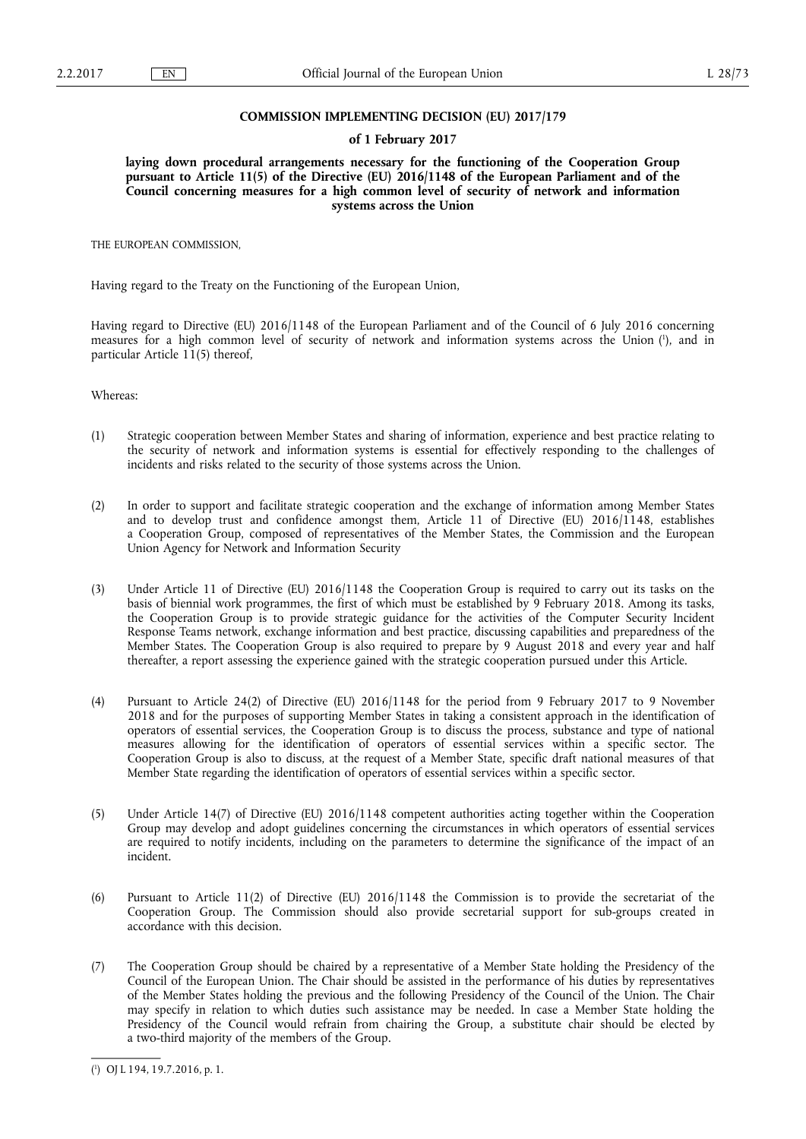### **COMMISSION IMPLEMENTING DECISION (EU) 2017/179**

#### **of 1 February 2017**

**laying down procedural arrangements necessary for the functioning of the Cooperation Group pursuant to Article 11(5) of the Directive (EU) 2016/1148 of the European Parliament and of the Council concerning measures for a high common level of security of network and information systems across the Union** 

THE EUROPEAN COMMISSION,

Having regard to the Treaty on the Functioning of the European Union,

Having regard to Directive (EU) 2016/1148 of the European Parliament and of the Council of 6 July 2016 concerning measures for a high common level of security of network and information systems across the Union ( 1 ), and in particular Article 11(5) thereof,

Whereas:

- (1) Strategic cooperation between Member States and sharing of information, experience and best practice relating to the security of network and information systems is essential for effectively responding to the challenges of incidents and risks related to the security of those systems across the Union.
- (2) In order to support and facilitate strategic cooperation and the exchange of information among Member States and to develop trust and confidence amongst them, Article 11 of Directive (EU) 2016/1148, establishes a Cooperation Group, composed of representatives of the Member States, the Commission and the European Union Agency for Network and Information Security
- (3) Under Article 11 of Directive (EU) 2016/1148 the Cooperation Group is required to carry out its tasks on the basis of biennial work programmes, the first of which must be established by 9 February 2018. Among its tasks, the Cooperation Group is to provide strategic guidance for the activities of the Computer Security Incident Response Teams network, exchange information and best practice, discussing capabilities and preparedness of the Member States. The Cooperation Group is also required to prepare by 9 August 2018 and every year and half thereafter, a report assessing the experience gained with the strategic cooperation pursued under this Article.
- (4) Pursuant to Article 24(2) of Directive (EU) 2016/1148 for the period from 9 February 2017 to 9 November 2018 and for the purposes of supporting Member States in taking a consistent approach in the identification of operators of essential services, the Cooperation Group is to discuss the process, substance and type of national measures allowing for the identification of operators of essential services within a specific sector. The Cooperation Group is also to discuss, at the request of a Member State, specific draft national measures of that Member State regarding the identification of operators of essential services within a specific sector.
- (5) Under Article 14(7) of Directive (EU) 2016/1148 competent authorities acting together within the Cooperation Group may develop and adopt guidelines concerning the circumstances in which operators of essential services are required to notify incidents, including on the parameters to determine the significance of the impact of an incident.
- (6) Pursuant to Article 11(2) of Directive (EU) 2016/1148 the Commission is to provide the secretariat of the Cooperation Group. The Commission should also provide secretarial support for sub-groups created in accordance with this decision.
- (7) The Cooperation Group should be chaired by a representative of a Member State holding the Presidency of the Council of the European Union. The Chair should be assisted in the performance of his duties by representatives of the Member States holding the previous and the following Presidency of the Council of the Union. The Chair may specify in relation to which duties such assistance may be needed. In case a Member State holding the Presidency of the Council would refrain from chairing the Group, a substitute chair should be elected by a two-third majority of the members of the Group.

<sup>(</sup> 1 ) OJ L 194, 19.7.2016, p. 1.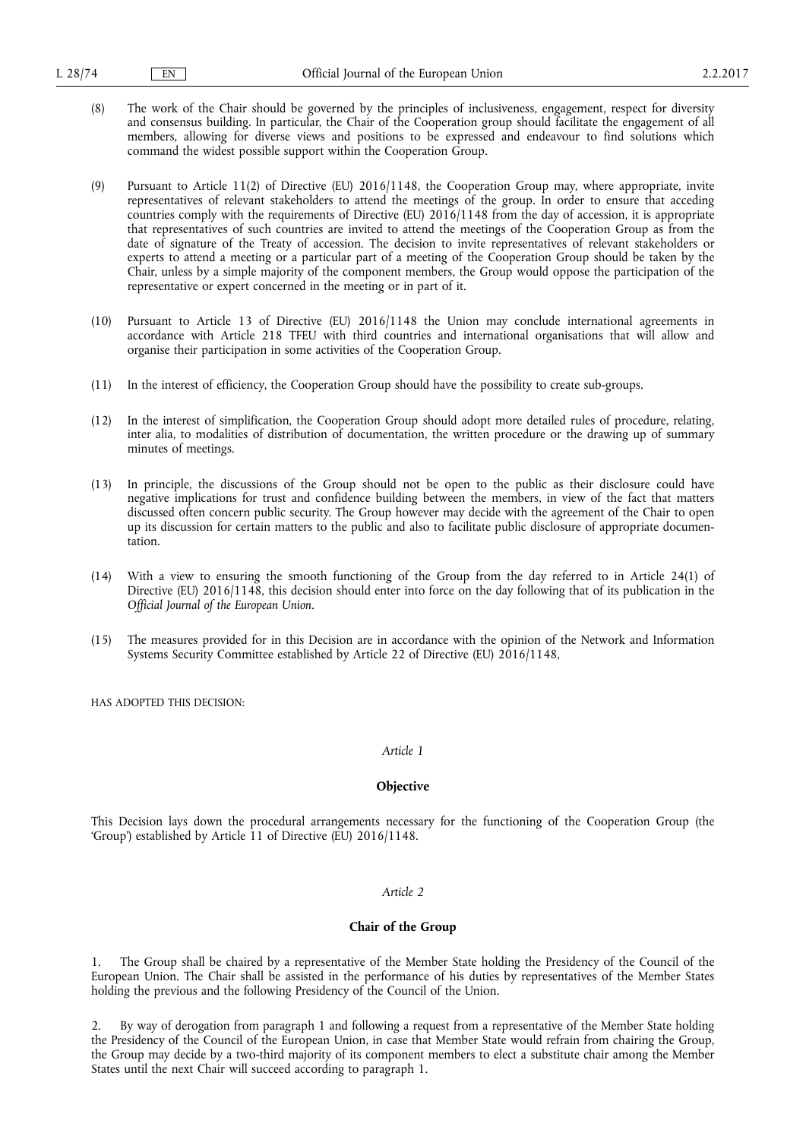- (8) The work of the Chair should be governed by the principles of inclusiveness, engagement, respect for diversity and consensus building. In particular, the Chair of the Cooperation group should facilitate the engagement of all members, allowing for diverse views and positions to be expressed and endeavour to find solutions which command the widest possible support within the Cooperation Group.
- (9) Pursuant to Article 11(2) of Directive (EU) 2016/1148, the Cooperation Group may, where appropriate, invite representatives of relevant stakeholders to attend the meetings of the group. In order to ensure that acceding countries comply with the requirements of Directive (EU) 2016/1148 from the day of accession, it is appropriate that representatives of such countries are invited to attend the meetings of the Cooperation Group as from the date of signature of the Treaty of accession. The decision to invite representatives of relevant stakeholders or experts to attend a meeting or a particular part of a meeting of the Cooperation Group should be taken by the Chair, unless by a simple majority of the component members, the Group would oppose the participation of the representative or expert concerned in the meeting or in part of it.
- (10) Pursuant to Article 13 of Directive (EU) 2016/1148 the Union may conclude international agreements in accordance with Article 218 TFEU with third countries and international organisations that will allow and organise their participation in some activities of the Cooperation Group.
- (11) In the interest of efficiency, the Cooperation Group should have the possibility to create sub-groups.
- (12) In the interest of simplification, the Cooperation Group should adopt more detailed rules of procedure, relating, inter alia, to modalities of distribution of documentation, the written procedure or the drawing up of summary minutes of meetings.
- (13) In principle, the discussions of the Group should not be open to the public as their disclosure could have negative implications for trust and confidence building between the members, in view of the fact that matters discussed often concern public security. The Group however may decide with the agreement of the Chair to open up its discussion for certain matters to the public and also to facilitate public disclosure of appropriate documentation.
- (14) With a view to ensuring the smooth functioning of the Group from the day referred to in Article 24(1) of Directive (EU) 2016/1148, this decision should enter into force on the day following that of its publication in the *Official Journal of the European Union*.
- (15) The measures provided for in this Decision are in accordance with the opinion of the Network and Information Systems Security Committee established by Article 22 of Directive (EU) 2016/1148,

HAS ADOPTED THIS DECISION:

### *Article 1*

### **Objective**

This Decision lays down the procedural arrangements necessary for the functioning of the Cooperation Group (the 'Group') established by Article 11 of Directive (EU) 2016/1148.

#### *Article 2*

# **Chair of the Group**

1. The Group shall be chaired by a representative of the Member State holding the Presidency of the Council of the European Union. The Chair shall be assisted in the performance of his duties by representatives of the Member States holding the previous and the following Presidency of the Council of the Union.

2. By way of derogation from paragraph 1 and following a request from a representative of the Member State holding the Presidency of the Council of the European Union, in case that Member State would refrain from chairing the Group, the Group may decide by a two-third majority of its component members to elect a substitute chair among the Member States until the next Chair will succeed according to paragraph 1.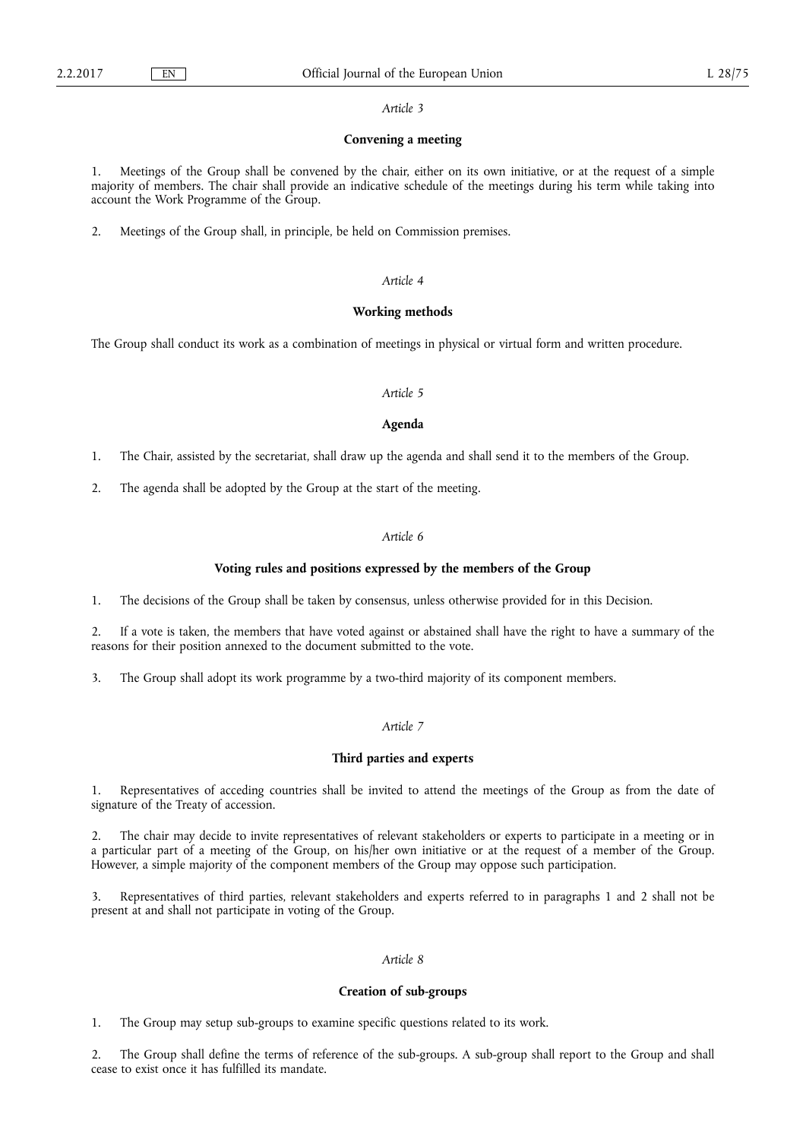#### *Article 3*

## **Convening a meeting**

1. Meetings of the Group shall be convened by the chair, either on its own initiative, or at the request of a simple majority of members. The chair shall provide an indicative schedule of the meetings during his term while taking into account the Work Programme of the Group.

2. Meetings of the Group shall, in principle, be held on Commission premises.

### *Article 4*

### **Working methods**

The Group shall conduct its work as a combination of meetings in physical or virtual form and written procedure.

# *Article 5*

### **Agenda**

1. The Chair, assisted by the secretariat, shall draw up the agenda and shall send it to the members of the Group.

2. The agenda shall be adopted by the Group at the start of the meeting.

### *Article 6*

### **Voting rules and positions expressed by the members of the Group**

1. The decisions of the Group shall be taken by consensus, unless otherwise provided for in this Decision.

2. If a vote is taken, the members that have voted against or abstained shall have the right to have a summary of the reasons for their position annexed to the document submitted to the vote.

3. The Group shall adopt its work programme by a two-third majority of its component members.

# *Article 7*

#### **Third parties and experts**

1. Representatives of acceding countries shall be invited to attend the meetings of the Group as from the date of signature of the Treaty of accession.

2. The chair may decide to invite representatives of relevant stakeholders or experts to participate in a meeting or in a particular part of a meeting of the Group, on his/her own initiative or at the request of a member of the Group. However, a simple majority of the component members of the Group may oppose such participation.

3. Representatives of third parties, relevant stakeholders and experts referred to in paragraphs 1 and 2 shall not be present at and shall not participate in voting of the Group.

# *Article 8*

### **Creation of sub-groups**

1. The Group may setup sub-groups to examine specific questions related to its work.

2. The Group shall define the terms of reference of the sub-groups. A sub-group shall report to the Group and shall cease to exist once it has fulfilled its mandate.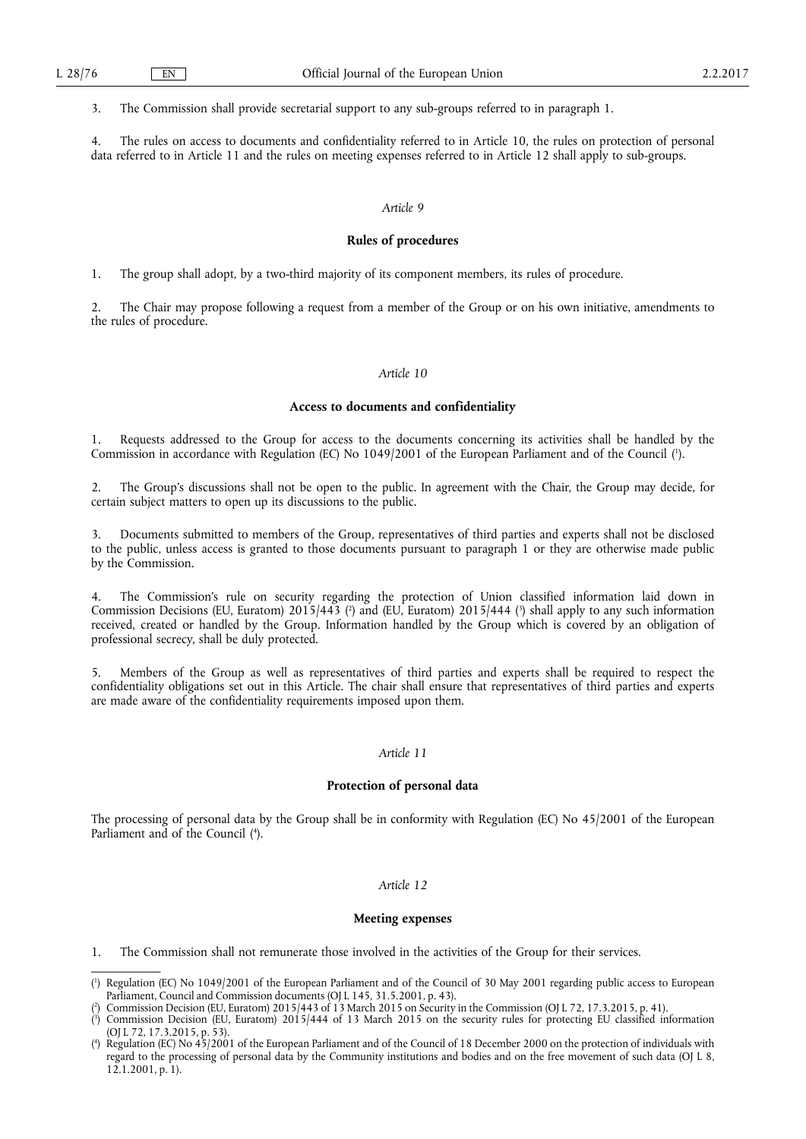3. The Commission shall provide secretarial support to any sub-groups referred to in paragraph 1.

4. The rules on access to documents and confidentiality referred to in Article 10, the rules on protection of personal data referred to in Article 11 and the rules on meeting expenses referred to in Article 12 shall apply to sub-groups.

#### *Article 9*

### **Rules of procedures**

1. The group shall adopt, by a two-third majority of its component members, its rules of procedure.

2. The Chair may propose following a request from a member of the Group or on his own initiative, amendments to the rules of procedure.

#### *Article 10*

### **Access to documents and confidentiality**

1. Requests addressed to the Group for access to the documents concerning its activities shall be handled by the Commission in accordance with Regulation (EC) No 1049/2001 of the European Parliament and of the Council (<sup>1</sup>).

2. The Group's discussions shall not be open to the public. In agreement with the Chair, the Group may decide, for certain subject matters to open up its discussions to the public.

3. Documents submitted to members of the Group, representatives of third parties and experts shall not be disclosed to the public, unless access is granted to those documents pursuant to paragraph 1 or they are otherwise made public by the Commission.

The Commission's rule on security regarding the protection of Union classified information laid down in Commission Decisions (EU, Euratom)  $2015/443$  ( $^2$ ) and (EU, Euratom)  $2015/444$  ( $^3$ ) shall apply to any such information received, created or handled by the Group. Information handled by the Group which is covered by an obligation of professional secrecy, shall be duly protected.

5. Members of the Group as well as representatives of third parties and experts shall be required to respect the confidentiality obligations set out in this Article. The chair shall ensure that representatives of third parties and experts are made aware of the confidentiality requirements imposed upon them.

# *Article 11*

#### **Protection of personal data**

The processing of personal data by the Group shall be in conformity with Regulation (EC) No 45/2001 of the European Parliament and of the Council (4).

# *Article 12*

#### **Meeting expenses**

1. The Commission shall not remunerate those involved in the activities of the Group for their services.

- ( 3 ) Commission Decision (EU, Euratom) 2015/444 of 13 March 2015 on the security rules for protecting EU classified information (OJ L 72, 17.3.2015, p. 53).
- ( 4 ) Regulation (EC) No 45/2001 of the European Parliament and of the Council of 18 December 2000 on the protection of individuals with regard to the processing of personal data by the Community institutions and bodies and on the free movement of such data (OJ L 8, 12.1.2001, p. 1).

<sup>(</sup> 1 ) Regulation (EC) No 1049/2001 of the European Parliament and of the Council of 30 May 2001 regarding public access to European Parliament, Council and Commission documents (OJ L 145, 31.5.2001, p. 43).

<sup>(</sup> 2 ) Commission Decision (EU, Euratom) 2015/443 of 13 March 2015 on Security in the Commission (OJ L 72, 17.3.2015, p. 41).